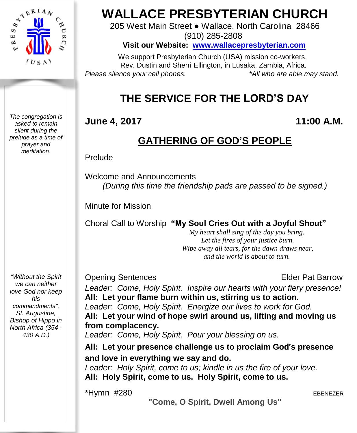

*The congregation is asked to remain silent during the prelude as a time of prayer and meditation.*

# **WALLACE PRESBYTERIAN CHURCH**

205 West Main Street ● Wallace, North Carolina 28466 (910) 285-2808

**Visit our Website: [www.wallacepresbyterian.com](http://www.wallacepresbyterian.com/)**

 We support Presbyterian Church (USA) mission co-workers, Rev. Dustin and Sherri Ellington, in Lusaka, Zambia, Africa. *Please silence your cell phones. \*All who are able may stand.*

# **THE SERVICE FOR THE LORD'S DAY**

#### **June 4, 2017 11:00 A.M.**

## **GATHERING OF GOD'S PEOPLE**

#### Prelude

Welcome and Announcements *(During this time the friendship pads are passed to be signed.)*

Minute for Mission

Choral Call to Worship **"My Soul Cries Out with a Joyful Shout"**

 *My heart shall sing of the day you bring. Let the fires of your justice burn. Wipe away all tears, for the dawn draws near, and the world is about to turn.* 

**Opening Sentences Elder Pat Barrow** 

*Leader: Come, Holy Spirit. Inspire our hearts with your fiery presence!* **All: Let your flame burn within us, stirring us to action.** *Leader: Come, Holy Spirit. Energize our lives to work for God.* **All: Let your wind of hope swirl around us, lifting and moving us from complacency.** *Leader: Come, Holy Spirit. Pour your blessing on us.*

**All: Let your presence challenge us to proclaim God**'**s presence and love in everything we say and do.** *Leader: Holy Spirit, come to us; kindle in us the fire of your love.*

**All: Holy Spirit, come to us. Holy Spirit, come to us.**

\*Hymn #280 EBENEZER

**"Come, O Spirit, Dwell Among Us"**

*"Without the Spirit we can neither love God nor keep his commandments". St. Augustine, Bishop of Hippo in North Africa (354 - 430 A.D.)*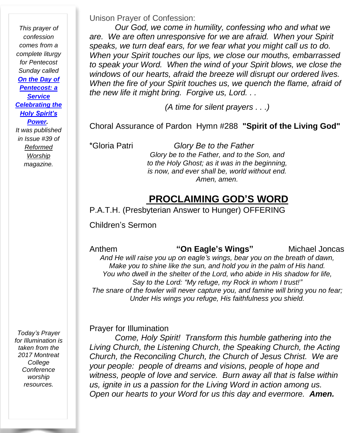*This prayer of confession comes from a complete liturgy for Pentecost Sunday called On the [Day](http://www.reformedworship.org/article/march-1996/day-pentecost-service-celebrating-holy-spirits-power) of [Pentecost:](http://www.reformedworship.org/article/march-1996/day-pentecost-service-celebrating-holy-spirits-power) a [Service](http://www.reformedworship.org/article/march-1996/day-pentecost-service-celebrating-holy-spirits-power) [Celebrating](http://www.reformedworship.org/article/march-1996/day-pentecost-service-celebrating-holy-spirits-power) the Holy [Spirit's](http://www.reformedworship.org/article/march-1996/day-pentecost-service-celebrating-holy-spirits-power) [Power.](http://www.reformedworship.org/article/march-1996/day-pentecost-service-celebrating-holy-spirits-power) It was published in Issue #39 of [Reformed](http://www.reformedworship.org/) [Worship](http://www.reformedworship.org/) magazine.*

Unison Prayer of Confession:

*Our God, we come in humility, confessing who and what we are. We are often unresponsive for we are afraid. When your Spirit speaks, we turn deaf ears, for we fear what you might call us to do. When your Spirit touches our lips, we close our mouths, embarrassed to speak your Word. When the wind of your Spirit blows, we close the windows of our hearts, afraid the breeze will disrupt our ordered lives. When the fire of your Spirit touches us, we quench the flame, afraid of the new life it might bring. Forgive us, Lord. . .*

*(A time for silent prayers . . .)*

Choral Assurance of Pardon Hymn #288 **"Spirit of the Living God"** 

\*Gloria Patri *Glory Be to the Father Glory be to the Father, and to the Son, and to the Holy Ghost; as it was in the beginning, is now, and ever shall be, world without end. Amen, amen.*

#### **PROCLAIMING GOD'S WORD**

P.A.T.H. (Presbyterian Answer to Hunger) OFFERING

Children's Sermon

Anthem **"On Eagle's Wings"** Michael Joncas *And He will raise you up on eagle's wings, bear you on the breath of dawn, Make you to shine like the sun, and hold you in the palm of His hand. You who dwell in the shelter of the Lord, who abide in His shadow for life, Say to the Lord: "My refuge, my Rock in whom I trust!" The snare of the fowler will never capture you, and famine will bring you no fear; Under His wings you refuge, His faithfulness you shield.*

Prayer for Illumination

*Come, Holy Spirit! Transform this humble gathering into the Living Church, the Listening Church, the Speaking Church, the Acting Church, the Reconciling Church, the Church of Jesus Christ. We are your people: people of dreams and visions, people of hope and witness, people of love and service. Burn away all that is false within us, ignite in us a passion for the Living Word in action among us. Open our hearts to your Word for us this day and evermore. Amen.*

*Today's Prayer for Illumination is taken from the 2017 Montreat College Conference worship resources.*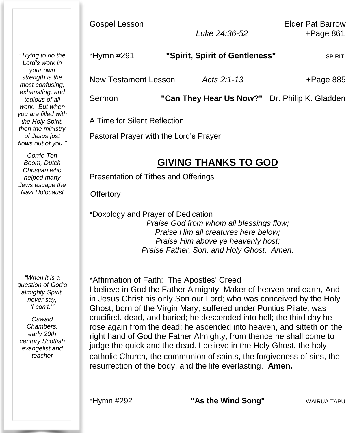*"Trying to do the Lord's work in your own strength is the most confusing, exhausting, and tedious of all work. But when you are filled with the Holy Spirit, then the ministry of Jesus just flows out of you."*

*Corrie Ten Boom, Dutch Christian who helped many Jews escape the Nazi Holocaust*

*"When it is a question of God's almighty Spirit, never say, 'I can't.'"*

*Oswald Chambers, early 20th century Scottish evangelist and teacher*

| *Hymn #291           | "Spirit, Spirit of Gentleness" | <b>SPIRIT</b> |
|----------------------|--------------------------------|---------------|
| New Testament Lesson | Acts $2:1-13$                  | $+$ Page 885  |

Sermon **"Can They Hear Us Now?"** Dr. Philip K. Gladden

A Time for Silent Reflection

Pastoral Prayer with the Lord's Prayer

### **GIVING THANKS TO GOD**

Presentation of Tithes and Offerings

**Offertory** 

\*Doxology and Prayer of Dedication *Praise God from whom all blessings flow; Praise Him all creatures here below; Praise Him above ye heavenly host; Praise Father, Son, and Holy Ghost. Amen.*

\*Affirmation of Faith: The Apostles' Creed I believe in God the Father Almighty, Maker of heaven and earth, And in Jesus Christ his only Son our Lord; who was conceived by the Holy Ghost, born of the Virgin Mary, suffered under Pontius Pilate, was crucified, dead, and buried; he descended into hell; the third day he rose again from the dead; he ascended into heaven, and sitteth on the right hand of God the Father Almighty; from thence he shall come to judge the quick and the dead. I believe in the Holy Ghost, the holy catholic Church, the communion of saints, the forgiveness of sins, the resurrection of the body, and the life everlasting. **Amen.**

\*Hymn #292 **"As the Wind Song"** WAIRUA TAPU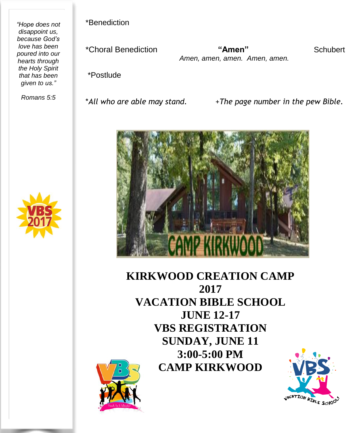*"Hope does not disappoint us, because God's love has been poured into our hearts through the Holy Spirit that has been given to us."*

*Romans 5:5*

\*Benediction

\*Choral Benediction **"Amen"** Schubert *Amen, amen, amen. Amen, amen.*

\*Postlude

\**All who are able may stand.* +*The page number in the pew Bible.*



**KIRKWOOD CREATION CAMP 2017 VACATION BIBLE SCHOOL JUNE 12-17 VBS REGISTRATION SUNDAY, JUNE 11 3:00-5:00 PM CAMP KIRKWOOD**





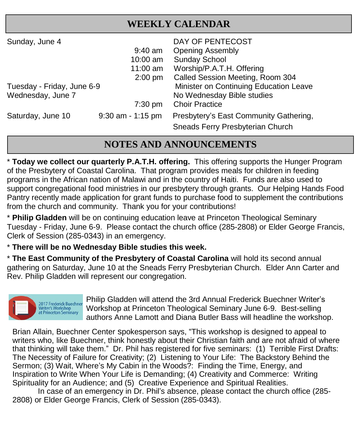#### **WEEKLY CALENDAR**

| Sunday, June 4                                  | $9:40$ am<br>10:00 am<br>$11:00$ am<br>$2:00$ pm | DAY OF PENTECOST<br><b>Opening Assembly</b><br><b>Sunday School</b><br>Worship/P.A.T.H. Offering<br>Called Session Meeting, Room 304 |
|-------------------------------------------------|--------------------------------------------------|--------------------------------------------------------------------------------------------------------------------------------------|
| Tuesday - Friday, June 6-9<br>Wednesday, June 7 | $7:30$ pm                                        | Minister on Continuing Education Leave<br>No Wednesday Bible studies<br><b>Choir Practice</b>                                        |
| Saturday, June 10                               | $9:30$ am - 1:15 pm                              | Presbytery's East Community Gathering,<br>Sneads Ferry Presbyterian Church                                                           |

#### **NOTES AND ANNOUNCEMENTS**

 $\overline{\phantom{a}}$  **Today we collect our quarterly P.A.T.H. offering.** This offering supports the Hunger Program of the Presbytery of Coastal Carolina. That program provides meals for children in feeding programs in the African nation of Malawi and in the country of Haiti. Funds are also used to support congregational food ministries in our presbytery through grants. Our Helping Hands Food Pantry recently made application for grant funds to purchase food to supplement the contributions from the church and community. Thank you for your contributions!

\* **Philip Gladden** will be on continuing education leave at Princeton Theological Seminary Tuesday - Friday, June 6-9. Please contact the church office (285-2808) or Elder George Francis, Clerk of Session (285-0343) in an emergency.

\* **There will be no Wednesday Bible studies this week.**

\* **The East Community of the Presbytery of Coastal Carolina** will hold its second annual gathering on Saturday, June 10 at the Sneads Ferry Presbyterian Church. Elder Ann Carter and Rev. Philip Gladden will represent our congregation.



Philip Gladden will attend the 3rd Annual Frederick Buechner Writer's Workshop at Princeton Theological Seminary June 6-9. Best-selling authors Anne Lamott and Diana Butler Bass will headline the workshop.

Brian Allain, Buechner Center spokesperson says, "This workshop is designed to appeal to writers who, like Buechner, think honestly about their Christian faith and are not afraid of where that thinking will take them." Dr. Phil has registered for five seminars: (1) Terrible First Drafts: The Necessity of Failure for Creativity; (2) Listening to Your Life: The Backstory Behind the Sermon; (3) Wait, Where's My Cabin in the Woods?: Finding the Time, Energy, and Inspiration to Write When Your Life is Demanding; (4) Creativity and Commerce: Writing Spirituality for an Audience; and (5) Creative Experience and Spiritual Realities.

In case of an emergency in Dr. Phil's absence, please contact the church office (285- 2808) or Elder George Francis, Clerk of Session (285-0343).